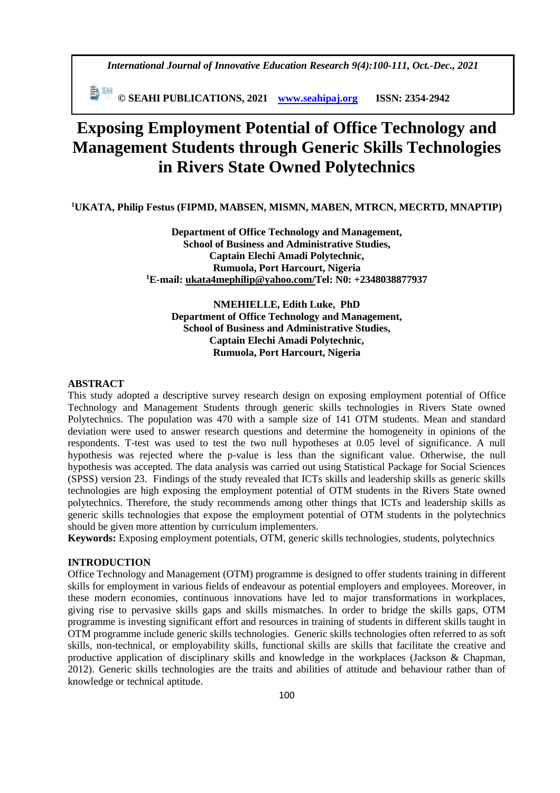*International Journal of Innovative Education Research 9(4):100-111, Oct.-Dec., 2021*

 **© SEAHI PUBLICATIONS, 2021 [www.seahipaj.org](http://www.seahipaj.org/) ISSN: 2354-2942**

# **Exposing Employment Potential of Office Technology and Management Students through Generic Skills Technologies in Rivers State Owned Polytechnics**

**<sup>1</sup>UKATA, Philip Festus (FIPMD, MABSEN, MISMN, MABEN, MTRCN, MECRTD, MNAPTIP)**

**Department of Office Technology and Management, School of Business and Administrative Studies, Captain Elechi Amadi Polytechnic, Rumuola, Port Harcourt, Nigeria <sup>1</sup>E-mail: [ukata4mephilip@yahoo.com/](mailto:ukata4mephilip@yahoo.com)Tel: N0: +2348038877937**

**NMEHIELLE, Edith Luke, PhD Department of Office Technology and Management, School of Business and Administrative Studies, Captain Elechi Amadi Polytechnic, Rumuola, Port Harcourt, Nigeria**

#### **ABSTRACT**

This study adopted a descriptive survey research design on exposing employment potential of Office Technology and Management Students through generic skills technologies in Rivers State owned Polytechnics. The population was 470 with a sample size of 141 OTM students. Mean and standard deviation were used to answer research questions and determine the homogeneity in opinions of the respondents. T-test was used to test the two null hypotheses at 0.05 level of significance. A null hypothesis was rejected where the p-value is less than the significant value. Otherwise, the null hypothesis was accepted. The data analysis was carried out using Statistical Package for Social Sciences (SPSS) version 23. Findings of the study revealed that ICTs skills and leadership skills as generic skills technologies are high exposing the employment potential of OTM students in the Rivers State owned polytechnics. Therefore, the study recommends among other things that ICTs and leadership skills as generic skills technologies that expose the employment potential of OTM students in the polytechnics should be given more attention by curriculum implementers.

**Keywords:** Exposing employment potentials, OTM, generic skills technologies, students, polytechnics

## **INTRODUCTION**

Office Technology and Management (OTM) programme is designed to offer students training in different skills for employment in various fields of endeavour as potential employers and employees. Moreover, in these modern economies, continuous innovations have led to major transformations in workplaces, giving rise to pervasive skills gaps and skills mismatches. In order to bridge the skills gaps, OTM programme is investing significant effort and resources in training of students in different skills taught in OTM programme include generic skills technologies. Generic skills technologies often referred to as soft skills, non-technical, or employability skills, functional skills are skills that facilitate the creative and productive application of disciplinary skills and knowledge in the workplaces (Jackson & Chapman, 2012). Generic skills technologies are the traits and abilities of attitude and behaviour rather than of knowledge or technical aptitude.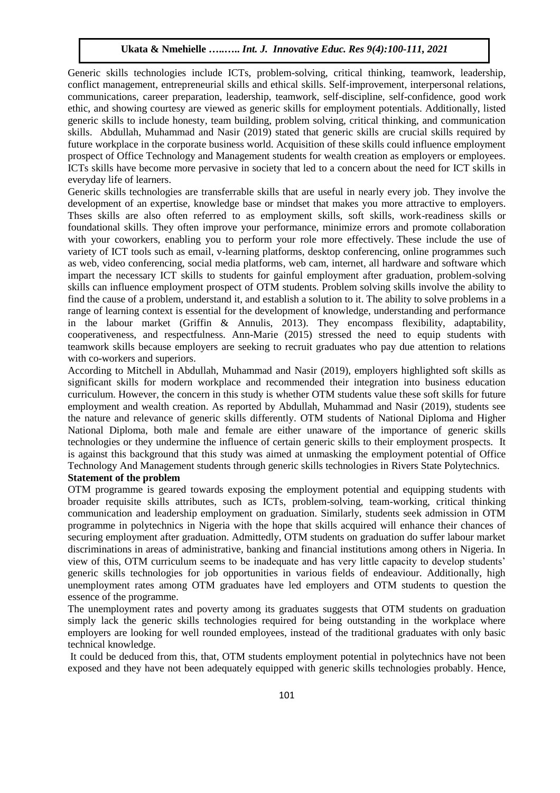Generic skills technologies include ICTs, problem-solving, critical thinking, teamwork, leadership, conflict management, entrepreneurial skills and ethical skills. Self-improvement, interpersonal relations, communications, career preparation, leadership, teamwork, self-discipline, self-confidence, good work ethic, and showing courtesy are viewed as generic skills for employment potentials. Additionally, listed generic skills to include honesty, team building, problem solving, critical thinking, and communication skills. Abdullah, Muhammad and Nasir (2019) stated that generic skills are crucial skills required by future workplace in the corporate business world. Acquisition of these skills could influence employment prospect of Office Technology and Management students for wealth creation as employers or employees. ICTs skills have become more pervasive in society that led to a concern about the need for ICT skills in everyday life of learners.

Generic skills technologies are transferrable skills that are useful in nearly every job. They involve the development of an expertise, knowledge base or mindset that makes you more attractive to employers. Thses skills are also often referred to as employment skills, soft skills, work-readiness skills or foundational skills. They often improve your performance, minimize errors and promote collaboration with your coworkers, enabling you to perform your role more effectively. These include the use of variety of ICT tools such as email, v-learning platforms, desktop conferencing, online programmes such as web, video conferencing, social media platforms, web cam, internet, all hardware and software which impart the necessary ICT skills to students for gainful employment after graduation, problem-solving skills can influence employment prospect of OTM students. Problem solving skills involve the ability to find the cause of a problem, understand it, and establish a solution to it. The ability to solve problems in a range of learning context is essential for the development of knowledge, understanding and performance in the labour market (Griffin & Annulis, 2013). They encompass flexibility, adaptability, cooperativeness, and respectfulness. Ann-Marie (2015) stressed the need to equip students with teamwork skills because employers are seeking to recruit graduates who pay due attention to relations with co-workers and superiors.

According to Mitchell in Abdullah, Muhammad and Nasir (2019), employers highlighted soft skills as significant skills for modern workplace and recommended their integration into business education curriculum. However, the concern in this study is whether OTM students value these soft skills for future employment and wealth creation. As reported by Abdullah, Muhammad and Nasir (2019), students see the nature and relevance of generic skills differently. OTM students of National Diploma and Higher National Diploma, both male and female are either unaware of the importance of generic skills technologies or they undermine the influence of certain generic skills to their employment prospects. It is against this background that this study was aimed at unmasking the employment potential of Office Technology And Management students through generic skills technologies in Rivers State Polytechnics. **Statement of the problem** 

OTM programme is geared towards exposing the employment potential and equipping students with broader requisite skills attributes, such as ICTs, problem-solving, team-working, critical thinking communication and leadership employment on graduation. Similarly, students seek admission in OTM programme in polytechnics in Nigeria with the hope that skills acquired will enhance their chances of securing employment after graduation. Admittedly, OTM students on graduation do suffer labour market discriminations in areas of administrative, banking and financial institutions among others in Nigeria. In view of this, OTM curriculum seems to be inadequate and has very little capacity to develop students' generic skills technologies for job opportunities in various fields of endeaviour. Additionally, high unemployment rates among OTM graduates have led employers and OTM students to question the essence of the programme.

The unemployment rates and poverty among its graduates suggests that OTM students on graduation simply lack the generic skills technologies required for being outstanding in the workplace where employers are looking for well rounded employees, instead of the traditional graduates with only basic technical knowledge.

It could be deduced from this, that, OTM students employment potential in polytechnics have not been exposed and they have not been adequately equipped with generic skills technologies probably. Hence,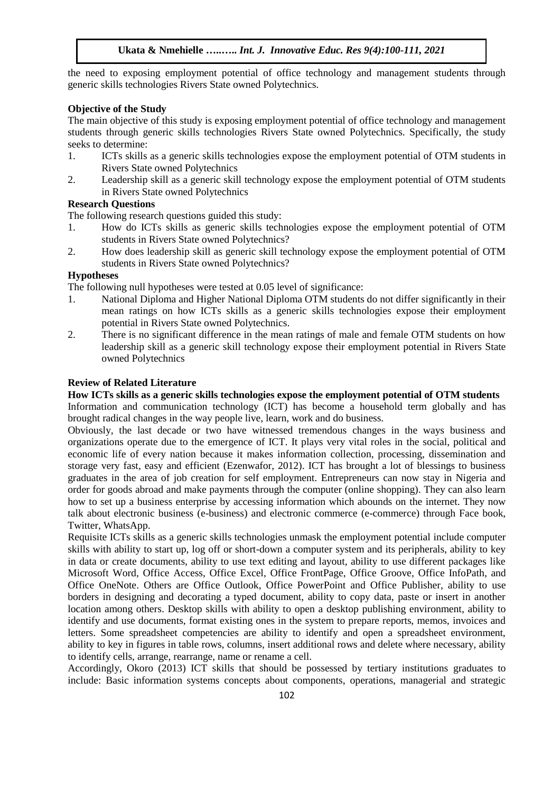the need to exposing employment potential of office technology and management students through generic skills technologies Rivers State owned Polytechnics.

## **Objective of the Study**

The main objective of this study is exposing employment potential of office technology and management students through generic skills technologies Rivers State owned Polytechnics. Specifically, the study seeks to determine:

- 1. ICTs skills as a generic skills technologies expose the employment potential of OTM students in Rivers State owned Polytechnics
- 2. Leadership skill as a generic skill technology expose the employment potential of OTM students in Rivers State owned Polytechnics

#### **Research Questions**

The following research questions guided this study:

- 1. How do ICTs skills as generic skills technologies expose the employment potential of OTM students in Rivers State owned Polytechnics?
- 2. How does leadership skill as generic skill technology expose the employment potential of OTM students in Rivers State owned Polytechnics?

#### **Hypotheses**

The following null hypotheses were tested at 0.05 level of significance:

- 1. National Diploma and Higher National Diploma OTM students do not differ significantly in their mean ratings on how ICTs skills as a generic skills technologies expose their employment potential in Rivers State owned Polytechnics.
- 2. There is no significant difference in the mean ratings of male and female OTM students on how leadership skill as a generic skill technology expose their employment potential in Rivers State owned Polytechnics

#### **Review of Related Literature**

**How ICTs skills as a generic skills technologies expose the employment potential of OTM students**  Information and communication technology (ICT) has become a household term globally and has

brought radical changes in the way people live, learn, work and do business.

Obviously, the last decade or two have witnessed tremendous changes in the ways business and organizations operate due to the emergence of ICT. It plays very vital roles in the social, political and economic life of every nation because it makes information collection, processing, dissemination and storage very fast, easy and efficient (Ezenwafor, 2012). ICT has brought a lot of blessings to business graduates in the area of job creation for self employment. Entrepreneurs can now stay in Nigeria and order for goods abroad and make payments through the computer (online shopping). They can also learn how to set up a business enterprise by accessing information which abounds on the internet. They now talk about electronic business (e-business) and electronic commerce (e-commerce) through Face book, Twitter, WhatsApp.

Requisite ICTs skills as a generic skills technologies unmask the employment potential include computer skills with ability to start up, log off or short-down a computer system and its peripherals, ability to key in data or create documents, ability to use text editing and layout, ability to use different packages like Microsoft Word, Office Access, Office Excel, Office FrontPage, Office Groove, Office InfoPath, and Office OneNote. Others are Office Outlook, Office PowerPoint and Office Publisher, ability to use borders in designing and decorating a typed document, ability to copy data, paste or insert in another location among others. Desktop skills with ability to open a desktop publishing environment, ability to identify and use documents, format existing ones in the system to prepare reports, memos, invoices and letters. Some spreadsheet competencies are ability to identify and open a spreadsheet environment, ability to key in figures in table rows, columns, insert additional rows and delete where necessary, ability to identify cells, arrange, rearrange, name or rename a cell.

Accordingly, Okoro (2013) ICT skills that should be possessed by tertiary institutions graduates to include: Basic information systems concepts about components, operations, managerial and strategic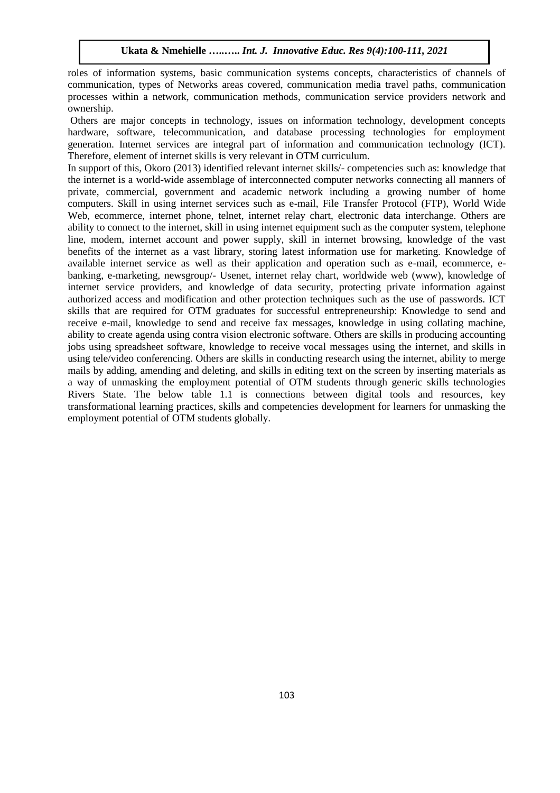roles of information systems, basic communication systems concepts, characteristics of channels of communication, types of Networks areas covered, communication media travel paths, communication processes within a network, communication methods, communication service providers network and ownership.

Others are major concepts in technology, issues on information technology, development concepts hardware, software, telecommunication, and database processing technologies for employment generation. Internet services are integral part of information and communication technology (ICT). Therefore, element of internet skills is very relevant in OTM curriculum.

In support of this, Okoro (2013) identified relevant internet skills/- competencies such as: knowledge that the internet is a world-wide assemblage of interconnected computer networks connecting all manners of private, commercial, government and academic network including a growing number of home computers. Skill in using internet services such as e-mail, File Transfer Protocol (FTP), World Wide Web, ecommerce, internet phone, telnet, internet relay chart, electronic data interchange. Others are ability to connect to the internet, skill in using internet equipment such as the computer system, telephone line, modem, internet account and power supply, skill in internet browsing, knowledge of the vast benefits of the internet as a vast library, storing latest information use for marketing. Knowledge of available internet service as well as their application and operation such as e-mail, ecommerce, ebanking, e-marketing, newsgroup/- Usenet, internet relay chart, worldwide web (www), knowledge of internet service providers, and knowledge of data security, protecting private information against authorized access and modification and other protection techniques such as the use of passwords. ICT skills that are required for OTM graduates for successful entrepreneurship: Knowledge to send and receive e-mail, knowledge to send and receive fax messages, knowledge in using collating machine, ability to create agenda using contra vision electronic software. Others are skills in producing accounting jobs using spreadsheet software, knowledge to receive vocal messages using the internet, and skills in using tele/video conferencing. Others are skills in conducting research using the internet, ability to merge mails by adding, amending and deleting, and skills in editing text on the screen by inserting materials as a way of unmasking the employment potential of OTM students through generic skills technologies Rivers State. The below table 1.1 is connections between digital tools and resources, key transformational learning practices, skills and competencies development for learners for unmasking the employment potential of OTM students globally.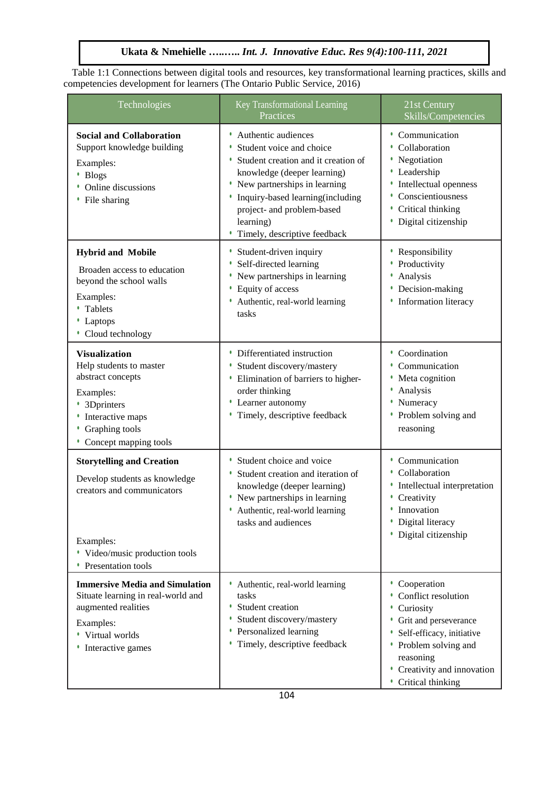Table 1:1 Connections between digital tools and resources, key transformational learning practices, skills and competencies development for learners (The Ontario Public Service, 2016)

| Technologies                                                                                                                                                           | Key Transformational Learning<br>Practices                                                                                                                                                                                                                                       | 21st Century<br>Skills/Competencies                                                                                                                                                           |
|------------------------------------------------------------------------------------------------------------------------------------------------------------------------|----------------------------------------------------------------------------------------------------------------------------------------------------------------------------------------------------------------------------------------------------------------------------------|-----------------------------------------------------------------------------------------------------------------------------------------------------------------------------------------------|
| <b>Social and Collaboration</b><br>Support knowledge building<br>Examples:<br>• Blogs<br>Online discussions<br>• File sharing                                          | Authentic audiences<br>٠<br>Student voice and choice<br>Student creation and it creation of<br>knowledge (deeper learning)<br>• New partnerships in learning<br>Inquiry-based learning(including<br>٠<br>project- and problem-based<br>learning)<br>Timely, descriptive feedback | Communication<br>Collaboration<br>Negotiation<br>Leadership<br>Intellectual openness<br>Conscientiousness<br>Critical thinking<br>Digital citizenship                                         |
| <b>Hybrid and Mobile</b><br>Broaden access to education<br>beyond the school walls<br>Examples:<br>Tablets<br>Laptops<br>• Cloud technology                            | Student-driven inquiry<br>٠<br>Self-directed learning<br>New partnerships in learning<br>0<br>Equity of access<br>٠<br>Authentic, real-world learning<br>٠<br>tasks                                                                                                              | Responsibility<br>Productivity<br>Analysis<br>Decision-making<br>Information literacy                                                                                                         |
| <b>Visualization</b><br>Help students to master<br>abstract concepts<br>Examples:<br>3Dprinters<br>Interactive maps<br>Graphing tools<br>• Concept mapping tools       | • Differentiated instruction<br>Student discovery/mastery<br>0<br>• Elimination of barriers to higher-<br>order thinking<br>• Learner autonomy<br><sup>•</sup> Timely, descriptive feedback                                                                                      | Coordination<br>Communication<br>Meta cognition<br>Analysis<br>Numeracy<br>Problem solving and<br>reasoning                                                                                   |
| <b>Storytelling and Creation</b><br>Develop students as knowledge<br>creators and communicators<br>Examples:<br>• Video/music production tools<br>• Presentation tools | Student choice and voice<br>Student creation and iteration of<br>knowledge (deeper learning)<br>• New partnerships in learning<br>Authentic, real-world learning<br>tasks and audiences                                                                                          | Communication<br>Collaboration<br>Intellectual interpretation<br>Creativity<br>Innovation<br>٠<br>Digital literacy<br>۰<br>Digital citizenship                                                |
| <b>Immersive Media and Simulation</b><br>Situate learning in real-world and<br>augmented realities<br>Examples:<br>• Virtual worlds<br>• Interactive games             | Authentic, real-world learning<br>٠<br>tasks<br>Student creation<br>۰<br>Student discovery/mastery<br>٠<br>• Personalized learning<br>• Timely, descriptive feedback                                                                                                             | • Cooperation<br>Conflict resolution<br>Curiosity<br>Grit and perseverance<br>Self-efficacy, initiative<br>Problem solving and<br>reasoning<br>Creativity and innovation<br>Critical thinking |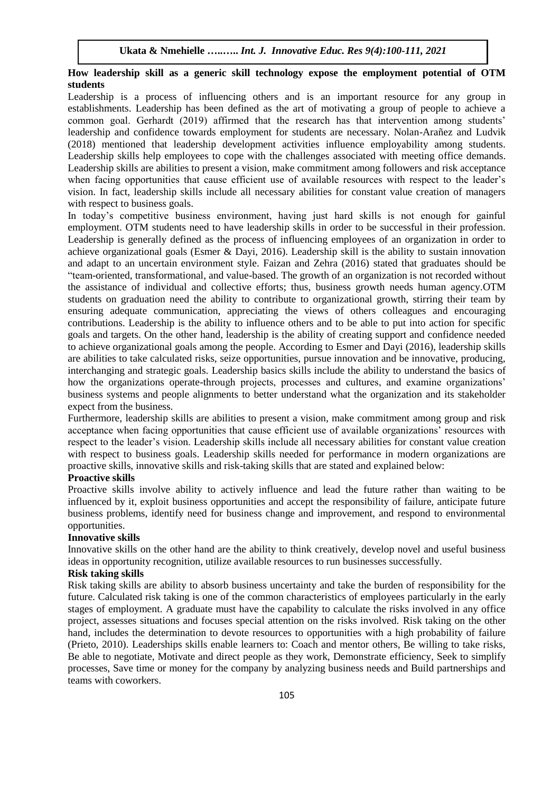## **How leadership skill as a generic skill technology expose the employment potential of OTM students**

Leadership is a process of influencing others and is an important resource for any group in establishments. Leadership has been defined as the art of motivating a group of people to achieve a common goal. Gerhardt (2019) affirmed that the research has that intervention among students' leadership and confidence towards employment for students are necessary. Nolan-Arañez and Ludvik (2018) mentioned that leadership development activities influence employability among students. Leadership skills help employees to cope with the challenges associated with meeting office demands. Leadership skills are abilities to present a vision, make commitment among followers and risk acceptance when facing opportunities that cause efficient use of available resources with respect to the leader's vision. In fact, leadership skills include all necessary abilities for constant value creation of managers with respect to business goals.

In today's competitive business environment, having just hard skills is not enough for gainful employment. OTM students need to have leadership skills in order to be successful in their profession. Leadership is generally defined as the process of influencing employees of an organization in order to achieve organizational goals (Esmer & Dayi, 2016). Leadership skill is the ability to sustain innovation and adapt to an uncertain environment style. Faizan and Zehra (2016) stated that graduates should be "team-oriented, transformational, and value-based. The growth of an organization is not recorded without the assistance of individual and collective efforts; thus, business growth needs human agency.OTM students on graduation need the ability to contribute to organizational growth, stirring their team by ensuring adequate communication, appreciating the views of others colleagues and encouraging contributions. Leadership is the ability to influence others and to be able to put into action for specific goals and targets. On the other hand, leadership is the ability of creating support and confidence needed to achieve organizational goals among the people. According to Esmer and Dayi (2016), leadership skills are abilities to take calculated risks, seize opportunities, pursue innovation and be innovative, producing, interchanging and strategic goals. Leadership basics skills include the ability to understand the basics of how the organizations operate-through projects, processes and cultures, and examine organizations' business systems and people alignments to better understand what the organization and its stakeholder expect from the business.

Furthermore, leadership skills are abilities to present a vision, make commitment among group and risk acceptance when facing opportunities that cause efficient use of available organizations' resources with respect to the leader's vision. Leadership skills include all necessary abilities for constant value creation with respect to business goals. Leadership skills needed for performance in modern organizations are proactive skills, innovative skills and risk-taking skills that are stated and explained below:

#### **Proactive skills**

Proactive skills involve ability to actively influence and lead the future rather than waiting to be influenced by it, exploit business opportunities and accept the responsibility of failure, anticipate future business problems, identify need for business change and improvement, and respond to environmental opportunities.

#### **Innovative skills**

Innovative skills on the other hand are the ability to think creatively, develop novel and useful business ideas in opportunity recognition, utilize available resources to run businesses successfully.

#### **Risk taking skills**

Risk taking skills are ability to absorb business uncertainty and take the burden of responsibility for the future. Calculated risk taking is one of the common characteristics of employees particularly in the early stages of employment. A graduate must have the capability to calculate the risks involved in any office project, assesses situations and focuses special attention on the risks involved. Risk taking on the other hand, includes the determination to devote resources to opportunities with a high probability of failure (Prieto, 2010). Leaderships skills enable learners to: Coach and mentor others, Be willing to take risks, Be able to negotiate, Motivate and direct people as they work, Demonstrate efficiency, Seek to simplify processes, Save time or money for the company by analyzing business needs and Build partnerships and teams with coworkers.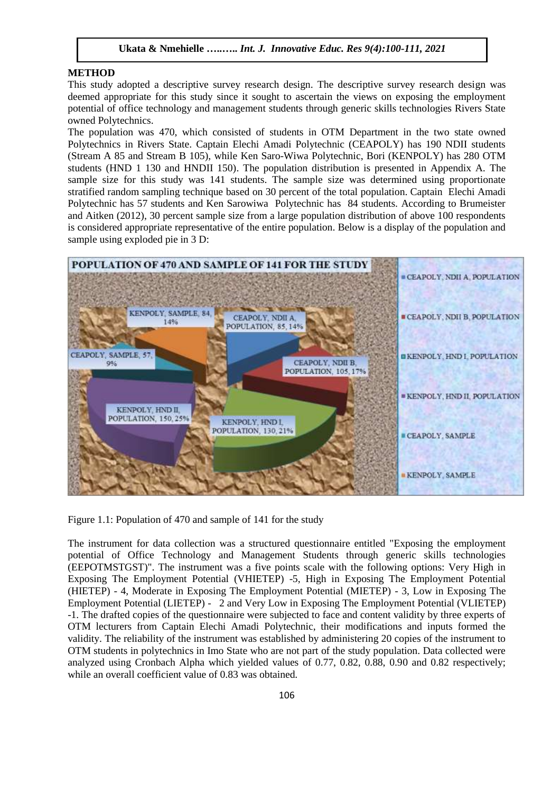### **METHOD**

This study adopted a descriptive survey research design. The descriptive survey research design was deemed appropriate for this study since it sought to ascertain the views on exposing the employment potential of office technology and management students through generic skills technologies Rivers State owned Polytechnics.

The population was 470, which consisted of students in OTM Department in the two state owned Polytechnics in Rivers State. Captain Elechi Amadi Polytechnic (CEAPOLY) has 190 NDII students (Stream A 85 and Stream B 105), while Ken Saro-Wiwa Polytechnic, Bori (KENPOLY) has 280 OTM students (HND 1 130 and HNDII 150). The population distribution is presented in Appendix A. The sample size for this study was 141 students. The sample size was determined using proportionate stratified random sampling technique based on 30 percent of the total population. Captain Elechi Amadi Polytechnic has 57 students and Ken Sarowiwa Polytechnic has 84 students. According to Brumeister and Aitken (2012), 30 percent sample size from a large population distribution of above 100 respondents is considered appropriate representative of the entire population. Below is a display of the population and sample using exploded pie in 3 D:



Figure 1.1: Population of 470 and sample of 141 for the study

The instrument for data collection was a structured questionnaire entitled "Exposing the employment potential of Office Technology and Management Students through generic skills technologies (EEPOTMSTGST)". The instrument was a five points scale with the following options: Very High in Exposing The Employment Potential (VHIETEP) -5, High in Exposing The Employment Potential (HIETEP) - 4, Moderate in Exposing The Employment Potential (MIETEP) - 3, Low in Exposing The Employment Potential (LIETEP) - 2 and Very Low in Exposing The Employment Potential (VLIETEP) -1. The drafted copies of the questionnaire were subjected to face and content validity by three experts of OTM lecturers from Captain Elechi Amadi Polytechnic, their modifications and inputs formed the validity. The reliability of the instrument was established by administering 20 copies of the instrument to OTM students in polytechnics in Imo State who are not part of the study population. Data collected were analyzed using Cronbach Alpha which yielded values of 0.77, 0.82, 0.88, 0.90 and 0.82 respectively; while an overall coefficient value of 0.83 was obtained.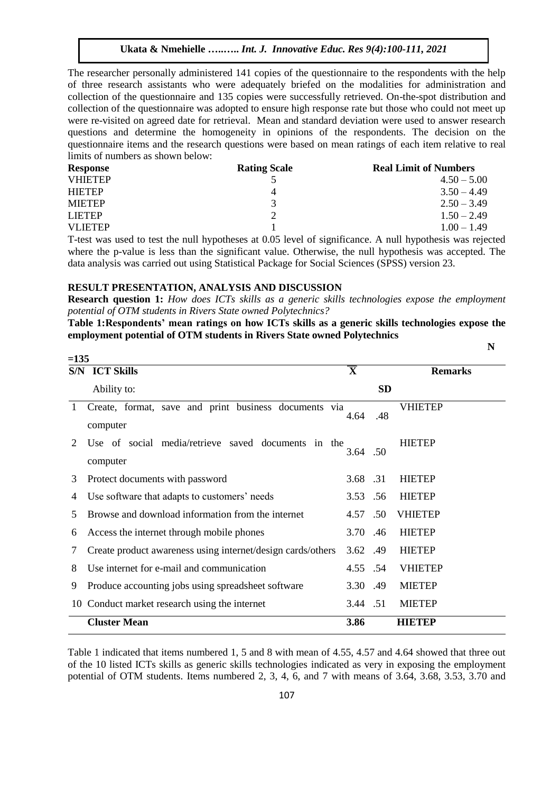The researcher personally administered 141 copies of the questionnaire to the respondents with the help of three research assistants who were adequately briefed on the modalities for administration and collection of the questionnaire and 135 copies were successfully retrieved. On-the-spot distribution and collection of the questionnaire was adopted to ensure high response rate but those who could not meet up were re-visited on agreed date for retrieval. Mean and standard deviation were used to answer research questions and determine the homogeneity in opinions of the respondents. The decision on the questionnaire items and the research questions were based on mean ratings of each item relative to real limits of numbers as shown below:

| <b>Response</b> | <b>Rating Scale</b> | <b>Real Limit of Numbers</b> |
|-----------------|---------------------|------------------------------|
| <b>VHIETEP</b>  |                     | $4.50 - 5.00$                |
| <b>HIETEP</b>   | 4                   | $3.50 - 4.49$                |
| <b>MIETEP</b>   | 3                   | $2.50 - 3.49$                |
| <b>LIETEP</b>   |                     | $1.50 - 2.49$                |
| <b>VLIETEP</b>  |                     | $1.00 - 1.49$                |

T-test was used to test the null hypotheses at 0.05 level of significance. A null hypothesis was rejected where the p-value is less than the significant value. Otherwise, the null hypothesis was accepted. The data analysis was carried out using Statistical Package for Social Sciences (SPSS) version 23.

#### **RESULT PRESENTATION, ANALYSIS AND DISCUSSION**

**Research question 1:** *How does ICTs skills as a generic skills technologies expose the employment potential of OTM students in Rivers State owned Polytechnics?*

#### **Table 1:Respondents' mean ratings on how ICTs skills as a generic skills technologies expose the employment potential of OTM students in Rivers State owned Polytechnics**

 **N** 

| $=135$                |                                                                   |                         |           |                |
|-----------------------|-------------------------------------------------------------------|-------------------------|-----------|----------------|
| S/N                   | <b>ICT Skills</b>                                                 | $\overline{\mathbf{X}}$ |           | <b>Remarks</b> |
|                       | Ability to:                                                       |                         | <b>SD</b> |                |
|                       | Create, format, save and print business documents via<br>computer | 4.64                    | .48       | <b>VHIETEP</b> |
| $\mathcal{D}_{\cdot}$ | Use of social media/retrieve saved documents in the<br>computer   | 3.64 .50                |           | <b>HIETEP</b>  |
| 3                     | Protect documents with password                                   | 3.68 .31                |           | <b>HIETEP</b>  |
| 4                     | Use software that adapts to customers' needs                      | 3.53                    | .56       | <b>HIETEP</b>  |
| 5                     | Browse and download information from the internet                 | 4.57                    | .50       | <b>VHIETEP</b> |
| 6                     | Access the internet through mobile phones                         | 3.70 .46                |           | <b>HIETEP</b>  |
| 7                     | Create product awareness using internet/design cards/others       | 3.62                    | .49       | <b>HIETEP</b>  |
| 8                     | Use internet for e-mail and communication                         | 4.55 .54                |           | <b>VHIETEP</b> |
| 9                     | Produce accounting jobs using spreadsheet software                | 3.30                    | .49       | <b>MIETEP</b>  |
| 10                    | Conduct market research using the internet                        | 3.44 .51                |           | <b>MIETEP</b>  |
|                       | <b>Cluster Mean</b>                                               | 3.86                    |           | HIETEP         |

Table 1 indicated that items numbered 1, 5 and 8 with mean of 4.55, 4.57 and 4.64 showed that three out of the 10 listed ICTs skills as generic skills technologies indicated as very in exposing the employment potential of OTM students. Items numbered 2, 3, 4, 6, and 7 with means of 3.64, 3.68, 3.53, 3.70 and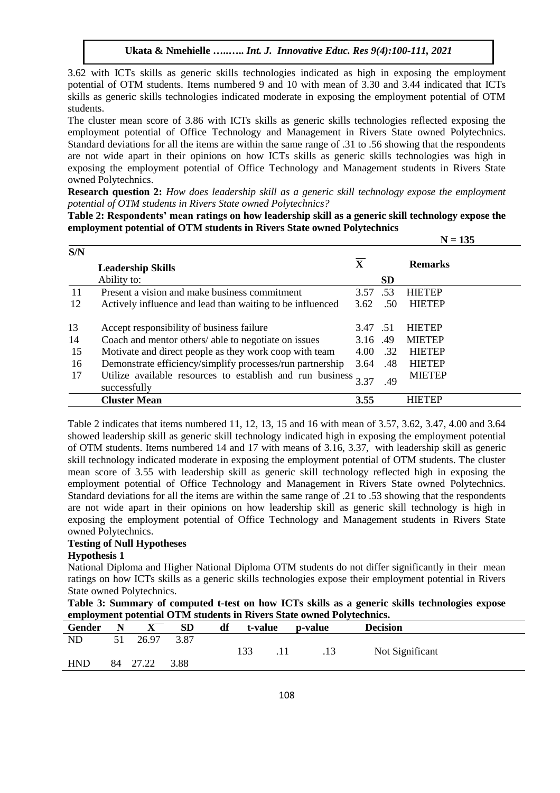3.62 with ICTs skills as generic skills technologies indicated as high in exposing the employment potential of OTM students. Items numbered 9 and 10 with mean of 3.30 and 3.44 indicated that ICTs skills as generic skills technologies indicated moderate in exposing the employment potential of OTM students.

The cluster mean score of 3.86 with ICTs skills as generic skills technologies reflected exposing the employment potential of Office Technology and Management in Rivers State owned Polytechnics. Standard deviations for all the items are within the same range of .31 to .56 showing that the respondents are not wide apart in their opinions on how ICTs skills as generic skills technologies was high in exposing the employment potential of Office Technology and Management students in Rivers State owned Polytechnics.

**Research question 2:** *How does leadership skill as a generic skill technology expose the employment potential of OTM students in Rivers State owned Polytechnics?*

**Table 2: Respondents' mean ratings on how leadership skill as a generic skill technology expose the employment potential of OTM students in Rivers State owned Polytechnics**

|               |                                                                           |              |           | $N = 135$      |
|---------------|---------------------------------------------------------------------------|--------------|-----------|----------------|
| S/N           |                                                                           |              |           |                |
|               | <b>Leadership Skills</b>                                                  | $\mathbf{X}$ |           | <b>Remarks</b> |
|               | Ability to:                                                               |              | <b>SD</b> |                |
| <sup>11</sup> | Present a vision and make business commitment                             | 3.57         | .53       | <b>HIETEP</b>  |
| 12            | Actively influence and lead than waiting to be influenced                 | 3.62         | .50       | <b>HIETEP</b>  |
| 13            | Accept responsibility of business failure                                 | 3.47 .51     |           | <b>HIETEP</b>  |
| 14            | Coach and mentor others/ able to negotiate on issues                      | 3.16         | .49       | <b>MIETEP</b>  |
| 15            | Motivate and direct people as they work coop with team                    | 4.00         | .32       | <b>HIETEP</b>  |
| 16            | Demonstrate efficiency/simplify processes/run partnership                 | 3.64         | .48       | <b>HIETEP</b>  |
| 17            | Utilize available resources to establish and run business<br>successfully | 3.37         | .49       | <b>MIETEP</b>  |
|               | <b>Cluster Mean</b>                                                       | 3.55         |           | <b>HIETEP</b>  |

Table 2 indicates that items numbered 11, 12, 13, 15 and 16 with mean of 3.57, 3.62, 3.47, 4.00 and 3.64 showed leadership skill as generic skill technology indicated high in exposing the employment potential of OTM students. Items numbered 14 and 17 with means of 3.16, 3.37, with leadership skill as generic skill technology indicated moderate in exposing the employment potential of OTM students. The cluster mean score of 3.55 with leadership skill as generic skill technology reflected high in exposing the employment potential of Office Technology and Management in Rivers State owned Polytechnics. Standard deviations for all the items are within the same range of .21 to .53 showing that the respondents are not wide apart in their opinions on how leadership skill as generic skill technology is high in exposing the employment potential of Office Technology and Management students in Rivers State owned Polytechnics.

## **Testing of Null Hypotheses**

## **Hypothesis 1**

National Diploma and Higher National Diploma OTM students do not differ significantly in their mean ratings on how ICTs skills as a generic skills technologies expose their employment potential in Rivers State owned Polytechnics.

**Table 3: Summary of computed t-test on how ICTs skills as a generic skills technologies expose employment potential OTM students in Rivers State owned Polytechnics.**

| Gender     | N  |       | <b>SD</b> | df | t-value | p-value | <b>Decision</b> |  |
|------------|----|-------|-----------|----|---------|---------|-----------------|--|
| ND         |    | 26.97 | 3.87      |    |         |         |                 |  |
|            |    |       |           |    | 133     | .13     | Not Significant |  |
| <b>HND</b> | 84 | 27.22 | 3.88      |    |         |         |                 |  |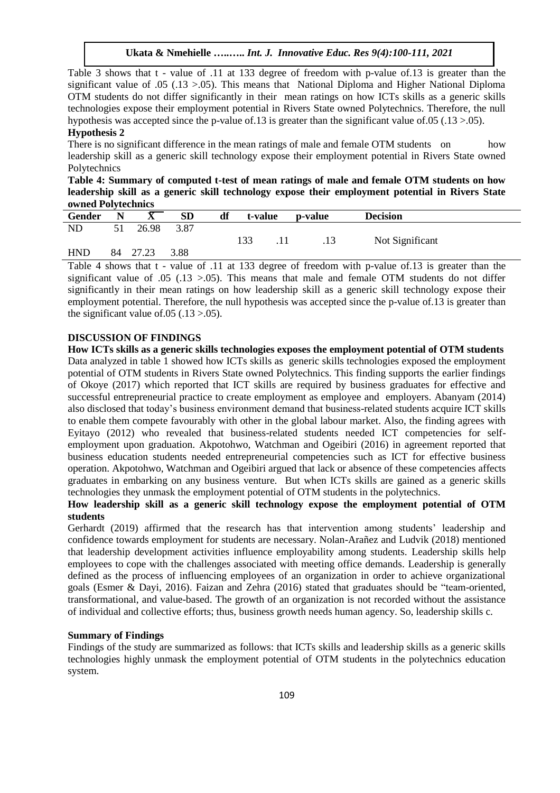Table 3 shows that t - value of .11 at 133 degree of freedom with p-value of.13 is greater than the significant value of .05 (.13 >.05). This means that National Diploma and Higher National Diploma OTM students do not differ significantly in their mean ratings on how ICTs skills as a generic skills technologies expose their employment potential in Rivers State owned Polytechnics. Therefore, the null hypothesis was accepted since the p-value of 13 is greater than the significant value of  $.05$  ( $.13$   $> 0.05$ ).

## **Hypothesis 2**

There is no significant difference in the mean ratings of male and female OTM students on how leadership skill as a generic skill technology expose their employment potential in Rivers State owned Polytechnics

**Table 4: Summary of computed t-test of mean ratings of male and female OTM students on how leadership skill as a generic skill technology expose their employment potential in Rivers State owned Polytechnics**

| Gender     | N  | ́△    | SD   | df | t-value | p-value | <b>Decision</b> |  |
|------------|----|-------|------|----|---------|---------|-----------------|--|
| <b>ND</b>  |    | 26.98 | 3.87 |    |         |         |                 |  |
|            |    |       |      |    |         |         | Not Significant |  |
| <b>HND</b> | 84 | 27.23 | 3.88 |    |         |         |                 |  |

Table 4 shows that t - value of .11 at 133 degree of freedom with p-value of.13 is greater than the significant value of  $.05$  ( $.13 > .05$ ). This means that male and female OTM students do not differ significantly in their mean ratings on how leadership skill as a generic skill technology expose their employment potential. Therefore, the null hypothesis was accepted since the p-value of.13 is greater than the significant value of  $.05$  ( $.13$   $> .05$ ).

## **DISCUSSION OF FINDINGS**

**How ICTs skills as a generic skills technologies exposes the employment potential of OTM students**  Data analyzed in table 1 showed how ICTs skills as generic skills technologies exposed the employment potential of OTM students in Rivers State owned Polytechnics. This finding supports the earlier findings of Okoye (2017) which reported that ICT skills are required by business graduates for effective and successful entrepreneurial practice to create employment as employee and employers. Abanyam (2014) also disclosed that today's business environment demand that business-related students acquire ICT skills to enable them compete favourably with other in the global labour market. Also, the finding agrees with Eyitayo (2012) who revealed that business-related students needed ICT competencies for selfemployment upon graduation. Akpotohwo, Watchman and Ogeibiri (2016) in agreement reported that business education students needed entrepreneurial competencies such as ICT for effective business operation. Akpotohwo, Watchman and Ogeibiri argued that lack or absence of these competencies affects graduates in embarking on any business venture. But when ICTs skills are gained as a generic skills technologies they unmask the employment potential of OTM students in the polytechnics.

## **How leadership skill as a generic skill technology expose the employment potential of OTM students**

Gerhardt (2019) affirmed that the research has that intervention among students' leadership and confidence towards employment for students are necessary. Nolan-Arañez and Ludvik (2018) mentioned that leadership development activities influence employability among students. Leadership skills help employees to cope with the challenges associated with meeting office demands. Leadership is generally defined as the process of influencing employees of an organization in order to achieve organizational goals (Esmer & Dayi, 2016). Faizan and Zehra (2016) stated that graduates should be "team-oriented, transformational, and value-based. The growth of an organization is not recorded without the assistance of individual and collective efforts; thus, business growth needs human agency. So, leadership skills c.

## **Summary of Findings**

Findings of the study are summarized as follows: that ICTs skills and leadership skills as a generic skills technologies highly unmask the employment potential of OTM students in the polytechnics education system.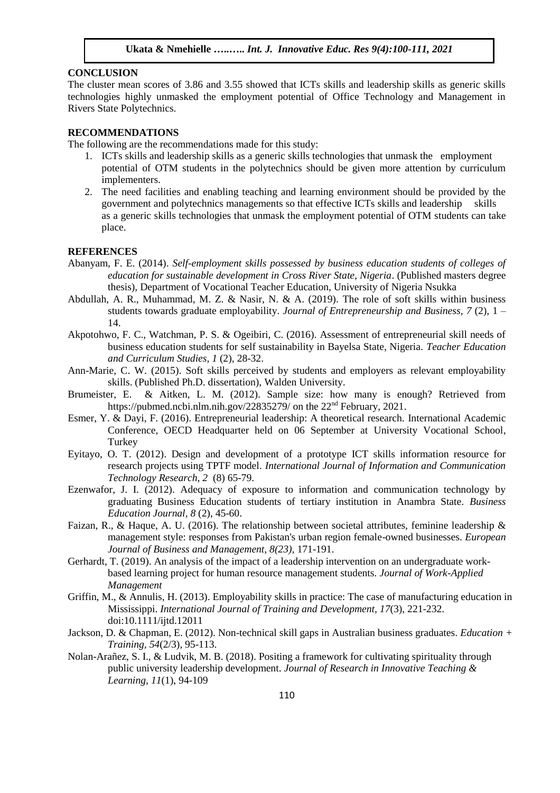## **CONCLUSION**

The cluster mean scores of 3.86 and 3.55 showed that ICTs skills and leadership skills as generic skills technologies highly unmasked the employment potential of Office Technology and Management in Rivers State Polytechnics.

## **RECOMMENDATIONS**

The following are the recommendations made for this study:

- 1. ICTs skills and leadership skills as a generic skills technologies that unmask the employment potential of OTM students in the polytechnics should be given more attention by curriculum implementers.
- 2. The need facilities and enabling teaching and learning environment should be provided by the government and polytechnics managements so that effective ICTs skills and leadership skills as a generic skills technologies that unmask the employment potential of OTM students can take place.

#### **REFERENCES**

- Abanyam, F. E. (2014). *Self-employment skills possessed by business education students of colleges of education for sustainable development in Cross River State, Nigeria*. (Published masters degree thesis), Department of Vocational Teacher Education, University of Nigeria Nsukka
- Abdullah, A. R., Muhammad, M. Z. & Nasir, N. & A. (2019). The role of soft skills within business students towards graduate employability. *Journal of Entrepreneurship and Business, 7* (2), 1 – 14.
- Akpotohwo, F. C., Watchman, P. S. & Ogeibiri, C. (2016). Assessment of entrepreneurial skill needs of business education students for self sustainability in Bayelsa State, Nigeria. *Teacher Education and Curriculum Studies, 1* (2), 28-32.
- Ann-Marie, C. W. (2015). Soft skills perceived by students and employers as relevant employability skills. (Published Ph.D. dissertation), Walden University.
- Brumeister, E. & Aitken, L. M. (2012). Sample size: how many is enough? Retrieved from <https://pubmed.ncbi.nlm.nih.gov/22835279/> on the 22nd February, 2021.
- Esmer, Y. & Dayi, F. (2016). Entrepreneurial leadership: A theoretical research. International Academic Conference, OECD Headquarter held on 06 September at University Vocational School, **Turkey**
- Eyitayo, O. T. (2012). Design and development of a prototype ICT skills information resource for research projects using TPTF model. *International Journal of Information and Communication Technology Research, 2* (8) 65-79.
- Ezenwafor, J. I. (2012). Adequacy of exposure to information and communication technology by graduating Business Education students of tertiary institution in Anambra State. *Business Education Journal*, *8* (2), 45-60.
- Faizan, R., & Haque, A. U. (2016). The relationship between societal attributes, feminine leadership & management style: responses from Pakistan's urban region female-owned businesses. *European Journal of Business and Management, 8(23),* 171-191.
- Gerhardt, T. (2019). An analysis of the impact of a leadership intervention on an undergraduate workbased learning project for human resource management students*. Journal of Work-Applied Management*
- Griffin, M., & Annulis, H. (2013). Employability skills in practice: The case of manufacturing education in Mississippi. *International Journal of Training and Development, 17*(3), 221-232. doi:10.1111/ijtd.12011
- Jackson, D. & Chapman, E. (2012). Non-technical skill gaps in Australian business graduates. *Education + Training, 54*(2/3), 95-113.
- Nolan-Arañez, S. I., & Ludvik, M. B. (2018). Positing a framework for cultivating spirituality through public university leadership development. *Journal of Research in Innovative Teaching & Learning, 11*(1), 94-109